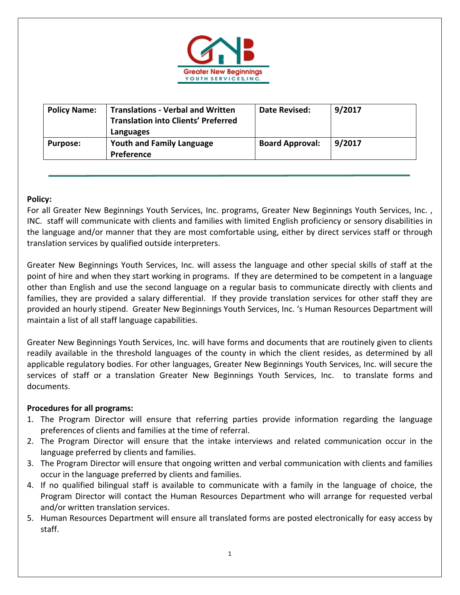

| <b>Policy Name:</b> | <b>Translations - Verbal and Written</b><br><b>Translation into Clients' Preferred</b><br>Languages | Date Revised:          | 9/2017 |
|---------------------|-----------------------------------------------------------------------------------------------------|------------------------|--------|
| <b>Purpose:</b>     | <b>Youth and Family Language</b><br><b>Preference</b>                                               | <b>Board Approval:</b> | 9/2017 |

## **Policy:**

For all Greater New Beginnings Youth Services, Inc. programs, Greater New Beginnings Youth Services, Inc. , INC. staff will communicate with clients and families with limited English proficiency or sensory disabilities in the language and/or manner that they are most comfortable using, either by direct services staff or through translation services by qualified outside interpreters.

Greater New Beginnings Youth Services, Inc. will assess the language and other special skills of staff at the point of hire and when they start working in programs. If they are determined to be competent in a language other than English and use the second language on a regular basis to communicate directly with clients and families, they are provided a salary differential. If they provide translation services for other staff they are provided an hourly stipend. Greater New Beginnings Youth Services, Inc. 's Human Resources Department will maintain a list of all staff language capabilities.

Greater New Beginnings Youth Services, Inc. will have forms and documents that are routinely given to clients readily available in the threshold languages of the county in which the client resides, as determined by all applicable regulatory bodies. For other languages, Greater New Beginnings Youth Services, Inc. will secure the services of staff or a translation Greater New Beginnings Youth Services, Inc. to translate forms and documents.

## **Procedures for all programs:**

- 1. The Program Director will ensure that referring parties provide information regarding the language preferences of clients and families at the time of referral.
- 2. The Program Director will ensure that the intake interviews and related communication occur in the language preferred by clients and families.
- 3. The Program Director will ensure that ongoing written and verbal communication with clients and families occur in the language preferred by clients and families.
- 4. If no qualified bilingual staff is available to communicate with a family in the language of choice, the Program Director will contact the Human Resources Department who will arrange for requested verbal and/or written translation services.
- 5. Human Resources Department will ensure all translated forms are posted electronically for easy access by staff.